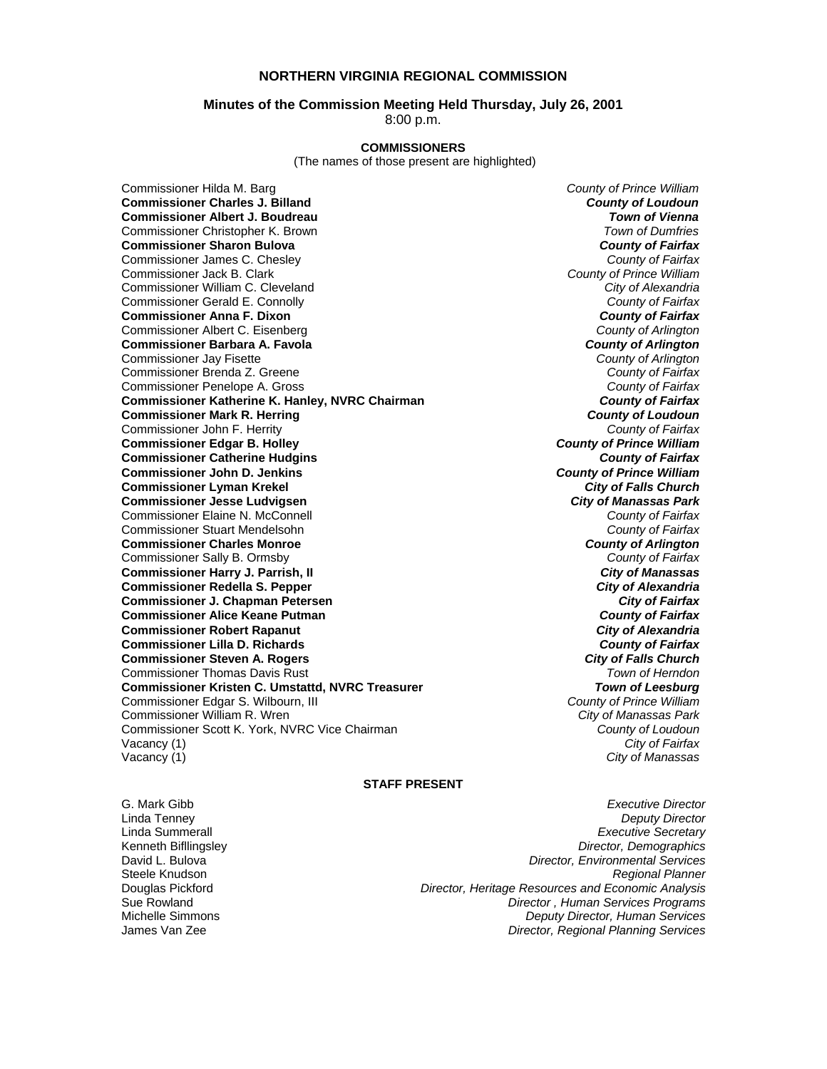# **NORTHERN VIRGINIA REGIONAL COMMISSION**

# **Minutes of the Commission Meeting Held Thursday, July 26, 2001**

8:00 p.m.

# **COMMISSIONERS**

(The names of those present are highlighted)

**Commissioner Charles J. Billand** *County of Loudoun* **Commissioner Albert J. Boudreau** *Town of Vienna* Commissioner Christopher K. Brown *Town of Dumfries*  **Commissioner Sharon Bulova** *County of Fairfax* Commissioner James C. Chesley *County of Fairfax* Commissioner Jack B. Clark *County of Prince William* Commissioner William C. Cleveland *City of Alexandria* Commissioner Gerald E. Connolly *County of Fairfax* **Commissioner Anna F. Dixon** *County of Fairfax* Commissioner Albert C. Eisenberg *County of Arlington* **Commissioner Barbara A. Favola** *County of Arlington*<br> **Commissioner Jay Fisette** *County of Arlington* Commissioner Jay Fisette *County of Arlington* Commissioner Brenda Z. Greene *County of Fairfax* Commissioner Penelope A. Gross *County of Fairfax* **Commissioner Katherine K. Hanley, NVRC Chairman** *County of Fairfax* **Commissioner Mark R. Herring** Commissioner John F. Herrity *County of Fairfax* **Commissioner Edgar B. Holley** *County of Prince William* **Commissioner Catherine Hudgins** *County of Fairfax* **Commissioner John D. Jenkins** *County of Prince William* **Commissioner Lyman Krekel Commissioner Jesse Ludvigsen** *City of Manassas Park* Commissioner Elaine N. McConnell *County of Fairfax* Commissioner Stuart Mendelsohn *County of Fairfax* **Commissioner Charles Monroe** *County of Arlington* Commissioner Sally B. Ormsby *County of Fairfax* **Commissioner Harry J. Parrish, II** *City of Manassas* **Commissioner Redella S. Pepper** *City of Alexandria* **Commissioner J. Chapman Petersen** *City of Fairfax* **Commissioner Alice Keane Putman** *County of Fairfax* **Commissioner Robert Rapanut** *City of Alexandria* **Commissioner Lilla D. Richards** *County of Fairfax* **Commissioner Steven A. Rogers** *City of Falls Church* Commissioner Thomas Davis Rust *Town of Herndon* **Commissioner Kristen C. Umstattd, NVRC Treasurer** *Town of Leesburg* Commissioner Edgar S. Wilbourn, III *County of Prince William* Commissioner William R. Wren *City of Manassas Park* Commissioner Scott K. York, NVRC Vice Chairman *County of Loudoun* Vacancy (1) *City of Fairfax*

Commissioner Hilda M. Barg *County of Prince William* **City of Manassas** 

#### **STAFF PRESENT**

G. Mark Gibb *Executive Director*

Linda Tenney *Deputy Director* Linda Summerall *Executive Secretary* Kenneth Bifllingsley *Director, Demographics* **Director, Environmental Services** Steele Knudson *Regional Planner* Douglas Pickford *Director, Heritage Resources and Economic Analysis* Sue Rowland *Director , Human Services Programs* Michelle Simmons *Deputy Director, Human Services* James Van Zee *Director, Regional Planning Services*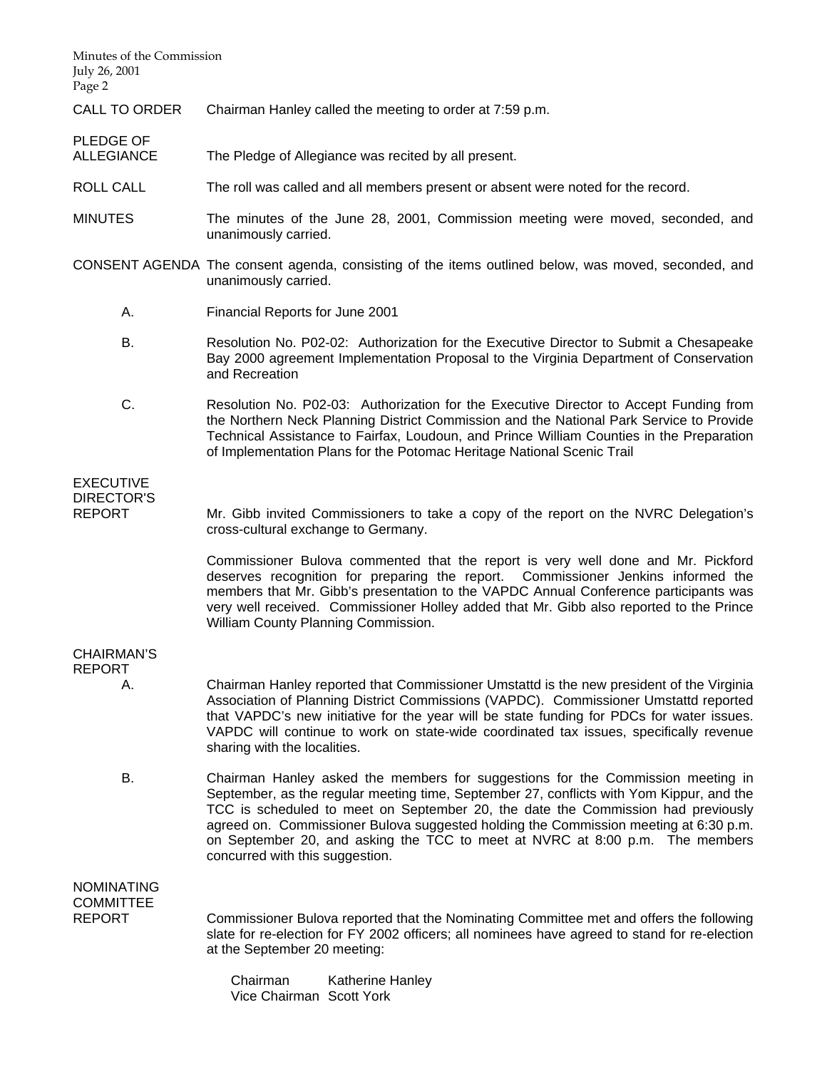Minutes of the Commission July 26, 2001 Page 2 CALL TO ORDER Chairman Hanley called the meeting to order at 7:59 p.m. PLEDGE OF<br>ALLEGIANCE The Pledge of Allegiance was recited by all present. ROLL CALL The roll was called and all members present or absent were noted for the record. MINUTES The minutes of the June 28, 2001, Commission meeting were moved, seconded, and unanimously carried. CONSENT AGENDA The consent agenda, consisting of the items outlined below, was moved, seconded, and unanimously carried. A. Financial Reports for June 2001 B. Resolution No. P02-02: Authorization for the Executive Director to Submit a Chesapeake Bay 2000 agreement Implementation Proposal to the Virginia Department of Conservation and Recreation C. Resolution No. P02-03: Authorization for the Executive Director to Accept Funding from the Northern Neck Planning District Commission and the National Park Service to Provide Technical Assistance to Fairfax, Loudoun, and Prince William Counties in the Preparation of Implementation Plans for the Potomac Heritage National Scenic Trail EXECUTIVE DIRECTOR'S REPORT Mr. Gibb invited Commissioners to take a copy of the report on the NVRC Delegation's cross-cultural exchange to Germany. Commissioner Bulova commented that the report is very well done and Mr. Pickford deserves recognition for preparing the report. Commissioner Jenkins informed the members that Mr. Gibb's presentation to the VAPDC Annual Conference participants was very well received. Commissioner Holley added that Mr. Gibb also reported to the Prince William County Planning Commission. CHAIRMAN'S REPORT A. Chairman Hanley reported that Commissioner Umstattd is the new president of the Virginia Association of Planning District Commissions (VAPDC). Commissioner Umstattd reported that VAPDC's new initiative for the year will be state funding for PDCs for water issues. VAPDC will continue to work on state-wide coordinated tax issues, specifically revenue sharing with the localities. B. Chairman Hanley asked the members for suggestions for the Commission meeting in September, as the regular meeting time, September 27, conflicts with Yom Kippur, and the TCC is scheduled to meet on September 20, the date the Commission had previously agreed on. Commissioner Bulova suggested holding the Commission meeting at 6:30 p.m. on September 20, and asking the TCC to meet at NVRC at 8:00 p.m. The members concurred with this suggestion. NOMINATING **COMMITTEE** REPORT Commissioner Bulova reported that the Nominating Committee met and offers the following slate for re-election for FY 2002 officers; all nominees have agreed to stand for re-election at the September 20 meeting: Chairman Katherine Hanley

Vice Chairman Scott York